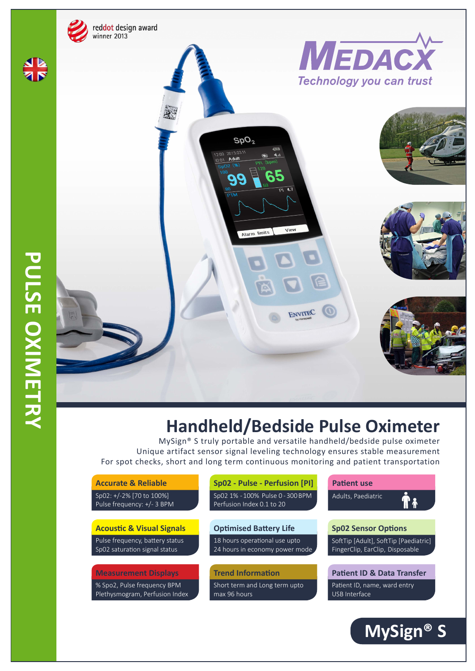

## **Handheld/Bedside Pulse Oximeter**

MySign® S truly portable and versatile handheld/bedside pulse oximeter Unique artifact sensor signal leveling technology ensures stable measurement For spot checks, short and long term continuous monitoring and patient transportation

| <b>Accurate &amp; Reliable</b>                                   | Sp02 - Pulse - Perfusion [PI]                                   | <b>Patient use</b>                                                       |  |
|------------------------------------------------------------------|-----------------------------------------------------------------|--------------------------------------------------------------------------|--|
| Sp02: +/-2% [70 to 100%]<br>Pulse frequency: +/- 3 BPM           | Sp02 1% - 100%, Pulse 0 - 300 BPM<br>Perfusion Index 0.1 to 20  | Adults, Paediatric                                                       |  |
| <b>Acoustic &amp; Visual Signals</b>                             | <b>Optimised Battery Life</b>                                   | <b>Sp02 Sensor Options</b>                                               |  |
| Pulse frequency, battery status<br>Sp02 saturation signal status | 18 hours operational use upto<br>24 hours in economy power mode | SoftTip [Adult], SoftTip [Paediatric]<br>FingerClip, EarClip, Disposable |  |
| <b>Measurement Displays</b>                                      | <b>Trend Information</b>                                        | <b>Patient ID &amp; Data Transfer</b>                                    |  |
| % Spo2, Pulse frequency BPM<br>Plethysmogram, Perfusion Index    | Short term and Long term upto<br>max 96 hours                   | Patient ID, name, ward entry<br>USB Interface                            |  |
|                                                                  |                                                                 |                                                                          |  |

**MySign® S**